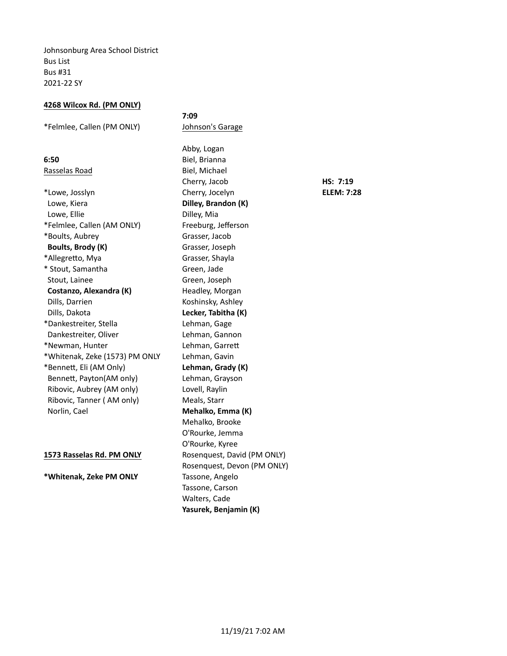Johnsonburg Area School District Bus List Bus #31 2021-22 SY

### **4268 Wilcox Rd. (PM ONLY)**

\*Felmlee, Callen (PM ONLY) Johnson's Garage

Rasselas Road Biel, Michael

\*Lowe, Josslyn Cherry, Jocelyn **ELEM: 7:28** Lowe, Kiera **Dilley, Brandon (K)** Lowe, Ellie **Dilley**, Mia \*Felmlee, Callen (AM ONLY) Freeburg, Jefferson \*Boults, Aubrey Grasser, Jacob **Boults, Brody (K)** Grasser, Joseph \*Allegretto, Mya Grasser, Shayla \* Stout, Samantha Green, Jade Stout, Lainee Green, Joseph **Costanzo, Alexandra (K)** Headley, Morgan Dills, Darrien **Koshinsky**, Ashley Dills, Dakota **Lecker, Tabitha (K)** \*Dankestreiter, Stella Lehman, Gage Dankestreiter, Oliver Lehman, Gannon \*Newman, Hunter Lehman, Garrett \*Whitenak, Zeke (1573) PM ONLY Lehman, Gavin \*Bennett, Eli (AM Only) **Lehman, Grady (K)** Bennett, Payton(AM only) Lehman, Grayson Ribovic, Aubrey (AM only) Lovell, Raylin Ribovic, Tanner (AM only) Meals, Starr Norlin, Cael **Mehalko, Emma (K)** 

**\*Whitenak, Zeke PM ONLY** Tassone, Angelo

**7:09** Abby, Logan **6:50** Biel, Brianna Cherry, Jacob **HS: 7:19** Mehalko, Brooke O'Rourke, Jemma O'Rourke, Kyree 1573 Rasselas Rd. PM ONLY Rosenquest, David (PM ONLY) Rosenquest, Devon (PM ONLY) Tassone, Carson Walters, Cade Yasurek, Benjamin (K)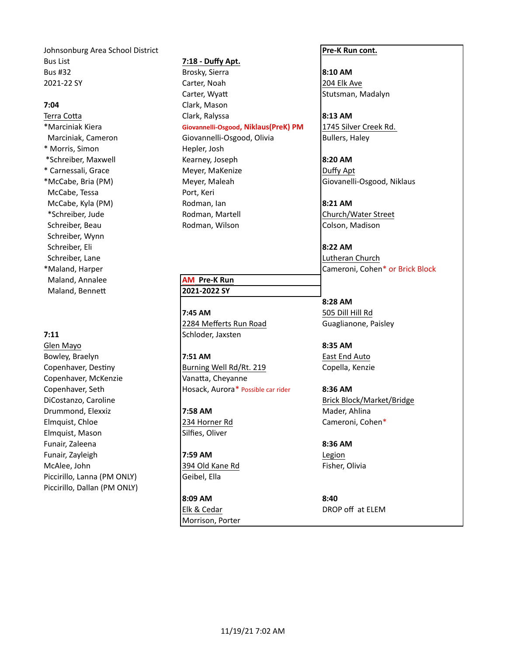Johnsonburg Area School District **Pre-K** Run cont. Bus List **7:18 - Duffy Apt.** Bus #32 **Brosky, Sierra Brosky, Sierra 8:10 AM** 2021-22 SY Carter, Noah 2021-22 SY 204 Elk Ave

\* Morris, Simon **Hepler**, Josh McCabe, Tessa **Port, Keri** McCabe, Kyla (PM) **Rodman, Ian 19:21 AM** Schreiber, Beau **Rodman, Wilson Colson, Madison** Colson, Madison Schreiber, Wynn Schreiber, Eli **8:22 AM** Schreiber, Lane **Lutheran** Church **Lutheran** Church **Lutheran** Church **Lutheran** Church Maland, Annalee **AM** Pre-K Run Maland, Bennett **2021-2022 SY** 

Glen Mayo **8:35 AM** Copenhaver, McKenzie Vanatta, Cheyanne DiCostanzo, Caroline **Brick Block/Market/Bridge** Brick Block/Market/Bridge Drummond, Elexxiz **7:58 AM** Mader, Ahlina Elmquist, Chloe **234 Horner Rd** Cameroni, Cohen\* Elmquist, Mason Silfies, Oliver Funair, Zaleena **8:36 AM** Funair, Zayleigh **7:59 AM Participal Exercise 2:59 AM Legion** McAlee, John **394 Old Kane Rd Fisher, Olivia** Piccirillo, Lanna (PM ONLY) Geibel, Ella Piccirillo, Dallan (PM ONLY)

Carter, Wyatt **Stutsman, Madalyn 7:04** Clark, Mason Terra Cotta **Bigger Clark, Ralyssa 18:13 AM** \*Marciniak Kiera **Giovannelli-Osgood, Niklaus(PreK) PM** 1745 Silver Creek Rd. Marciniak, Cameron Giovannelli-Osgood, Olivia Bullers, Haley \*Schreiber, Maxwell **Kearney, Joseph 8:20 AM** \* Carnessali, Grace The Meyer, MaKenize The Meyer, MaKenize Channessali, Duffy Apt \*McCabe, Bria (PM) Meyer, Maleah Giovanelli-Osgood, Niklaus

**7:45 AM** 505 Dill Hill Rd 2284 Mefferts Run Road Guaglianone, Paisley **7:11** Schloder, Jaxsten

Bowley, Braelyn **1988 1988 7:51 AM East End Auto** Copenhaver, Destiny **Burning Well Rd/Rt.** 219 Copella, Kenzie Copenhaver, Seth **Hosack, Aurora\* Possible car rider 8:36 AM** 

**8:09 AM 8:40** Morrison, Porter

\*Schreiber, Jude **Rodman, Martell Church/Water Street** 

\*Maland, Harper Cameroni, Cohen\* or Brick Block

**8:28 AM**

Elk & Cedar DROP off at ELEM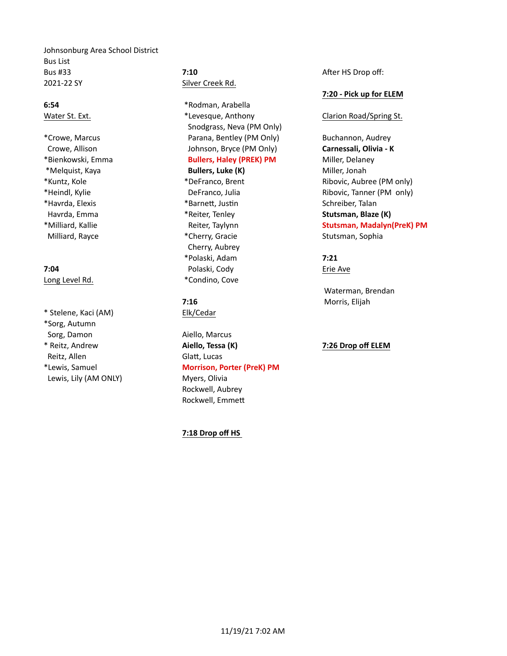Johnsonburg Area School District Bus List **Bus #33 7:10 7:10 After HS Drop off:** 2021-22 SY Silver Creek Rd.

\* Stelene, Kaci (AM) Bik/Cedar \*Sorg, Autumn Sorg, Damon **Aiello, Marcus** Reitz, Allen Glatt, Lucas Lewis, Lily (AM ONLY) Myers, Olivia

**6:54 \*Rodman, Arabella** Water St. Ext. **Ext. Ext.** And the Music of the Music St. Clarion Road/Spring St. Snodgrass, Neva (PM Only) \*Crowe, Marcus Parana, Bentley (PM Only) Buchannon, Audrey Crowe, Allison **Crowe, Allison Crowe, Allison Carnessali, Olivia - K** Johnson, Bryce (PM Only) **Carnessali, Olivia - K** \*Bienkowski, Emma **Bullers, Haley (PREK) PM** Miller, Delaney \*Melquist, Kaya **Bullers, Luke (K)** Miller, Jonah \*Havrda, Elexis \*BarneV, Jusen Schreiber, Talan Havrda, Emma **Mathem Communist Administrative Communist Administrative Communistrative Communistrative Communistrative Communistrative Communistrative Communistrative Communistrative Communistrative Communistrative Communi** Milliard, Rayce **Milliard, Rayce Research Stutsman, Sophia Cherry, Gracie** Stutsman, Sophia Cherry, Aubrey \*Polaski, Adam **7:21 7:04** Polaski, Cody Erie Ave Long Level Rd. **And According Level Rd. \*Condino**, Cove

\* Reitz, Andrew **Aiello, Tessa (K) 7:26 Drop off ELEM** \*Lewis, Samuel **Morrison, Porter (PreK) PM** Rockwell, Aubrey Rockwell, Emmett

### **7:18 Drop off HS**

## **7:20 - Pick up for ELEM**

\*Kuntz, Kole **Xandia Aubree** (PM only) **\*DeFranco, Brent** Ribovic, Aubree (PM only) \*Heindl, Kylie DeFranco, Julia Ribovic, Tanner (PM only) \*Milliard, Kallie **Wallie 19th Chemister, Taylynn Stutsman, Madalyn(PreK) PM** 

Waterman, Brendan **7:16** Morris, Elijah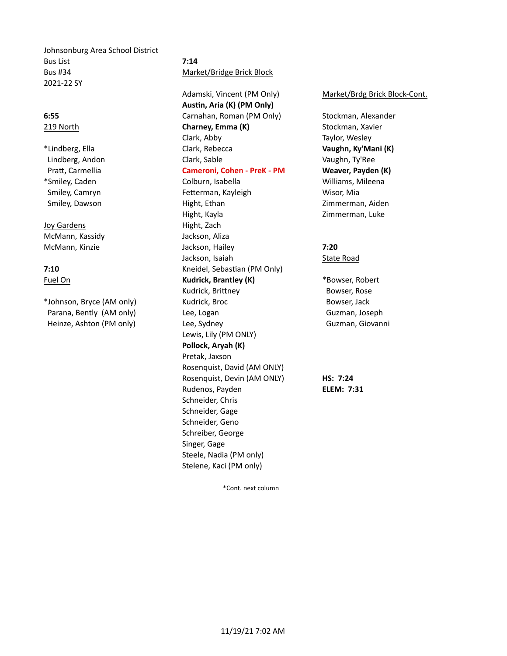Johnsonburg Area School District Bus List **7:14** Bus #34 Market/Bridge Brick Block 2021-22 SY

Joy Gardens **Hight, Zach** McMann, Kassidy **Jackson**, Aliza

Adamski, Vincent (PM Only) Market/Brdg Brick Block-Cont. Austin, Aria (K) (PM Only) **6:55** Carnahan, Roman (PM Only) Stockman, Alexander 219 North **Charney, Emma (K)** Stockman, Xavier Clark, Abby **Taylor, Wesley** \*Lindberg, Ella Clark, Rebecca **Vaughn, Ky'Mani (K)** Lindberg, Andon **Clark, Sable Clark, Cable** Vaughn, Ty'Ree Pratt, Carmellia **Cameroni, Cohen - PreK - PM Weaver, Payden (K)** \*Smiley, Caden Colburn, Isabella Williams, Mileena Smiley, Camryn **Fetterman, Kayleigh** Wisor, Mia Smiley, Dawson **Might, Ethan** Might, Ethan Zimmerman, Aiden Hight, Kayla **Zimmerman**, Luke McMann, Kinzie Jackson, Hailey **7:20** Jackson, Isaiah State Road **7:10** Kneidel, Sebastian (PM Only) Fuel On **Kudrick, Brantley (K)** \*Bowser, Robert **Kudrick, Brantley (K)** \*Bowser, Robert Kudrick, Brittney **Bowser, Rose** \*Johnson, Bryce (AM only) Kudrick, Broc Bowser, Jack Parana, Bently (AM only) Lee, Logan Cuzman, Joseph Heinze, Ashton (PM only) **Lee, Sydney CHOON CHOON CHOON CHOON CHOON CHOON CHOON CHOON CHOON CHOON CHOON CHOON CHOON CHOON CHOON CHOON CHOON CHOON CHOON CHOON CHOON CHOON C** Lewis, Lily (PM ONLY) **Pollock, Aryah (K)** Pretak, Jaxson Rosenquist, David (AM ONLY) Rosenquist, Devin (AM ONLY) **HS: 7:24** Rudenos, Payden **ELEM: 7:31** Schneider, Chris Schneider, Gage Schneider, Geno Schreiber, George Singer, Gage Steele, Nadia (PM only) Stelene, Kaci (PM only)

\*Cont. next column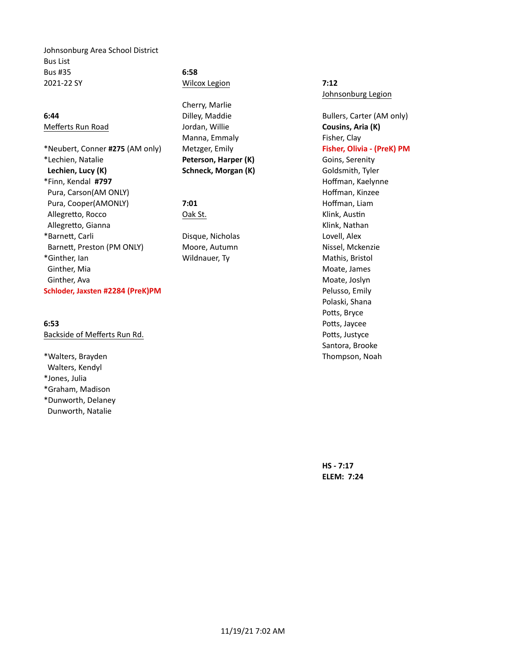Johnsonburg Area School District Bus List Bus #35 **6:58** 2021-22 SY Wilcox Legion **7:12**

\*Neubert, Conner **#275** (AM only) Metzger, Emily **Fisher, Olivia - (PreK) PM** \*Lechien, Natalie **Peterson, Harper (K)** Goins, Serenity **Lechien, Lucy (K) Schneck, Morgan (K)** Goldsmith, Tyler \*Finn, Kendal **#797** Hoffman, Kaelynne Pura, Carson(AM ONLY) **And Carson Carson Carson Carson Carson Carson Carson Carson Carson Carson Carson Carson Carson Carson Carson Carson Carson Carson Carson Carson Carson Carson Carson Carson Carson Carson Carson Carson** Pura, Cooper(AMONLY) **7:01 7:01** Hoffman, Liam Allegretto, Rocco **Cak St.** Oak St. Communist Constanting Constanting Constanting Constanting Constanting Constanting Constanting Constanting Constanting Constanting Constanting Constanting Constanting Constanting Constant Allegretto, Gianna **Klink, Nathan** \*Barnett, Carli **Disque, Nicholas** Lovell, Alex Barnett, Preston (PM ONLY) Moore, Autumn Nissel, Mckenzie \*Ginther, Ian Millen Mildnauer, Ty **Mathis, Bristol** Mathis, Bristol Ginther, Mia and South America and South America and South America and Moate, James Ginther, Ava and the contract of the contract of the contract of the contract of the Moate, Joslyn Moate, Joslyn **Schloder, Jaxsten #2284 (PreK)PM Pelusso, Emily** Pelusso, Emily

Backside of Mefferts Run Rd. **Backside of Mefferts** Run Rd.

\*Walters, Brayden Thompson, Noah Walters, Kendyl \*Jones, Julia \*Graham, Madison \*Dunworth, Delaney Dunworth, Natalie

Cherry, Marlie Mefferts Run Road **Cousins, Aria (K)** Jordan, Willie **Cousins, Aria (K)** Manna, Emmaly **Fisher, Clay** 

Johnsonburg Legion

**6:44 Dilley, Maddie Bullers, Carter (AM only) Bullers**, Carter (AM only) Polaski, Shana Potts, Bryce **6:53** Potts, Jaycee Santora, Brooke

> **HS - 7:17 ELEM: 7:24**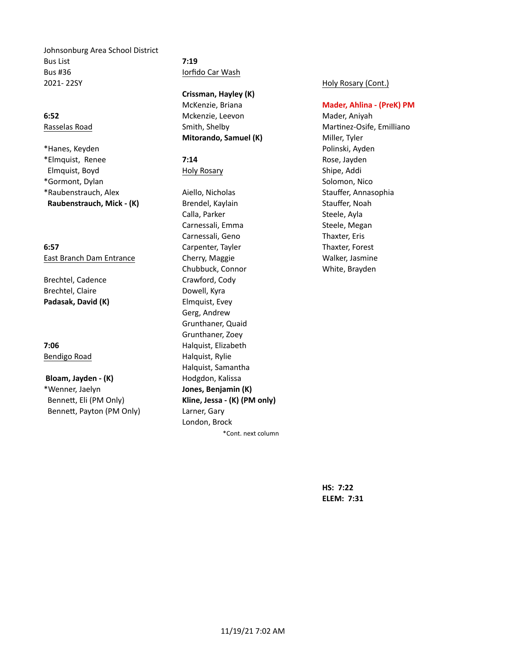Johnsonburg Area School District Bus List **7:19** Bus #36 **Iorfido Car Wash** 2021- 22SY **Holy Rosary (Cont.)** 

\*Hanes, Keyden Polinski, Ayden \*Elmquist, Renee **7:14** Rose, Jayden Elmquist, Boyd **Elmanust** Holy Rosary **Shipe, Addi** \*Gormont, Dylan and Solomon, Nicolas and Solomon, Nicolas and Solomon, Nicolas and Solomon, Nicolas and Solomon, Nicolas and Solomon, Nicolas and Solomon, Nicolas and Solomon, Nicolas and Solomon, Nicolas and Solomon, Nico \*Raubenstrauch, Alex Aiello, Nicholas Stauffer, Annasophia **Raubenstrauch, Mick - (K)** Brendel, Kaylain Stauffer, Noah

Brechtel, Cadence Crawford, Cody Brechtel, Claire **Dowell**, Kyra **Padasak, David (K)** Elmquist, Evey

**Bloam, Jayden - (K)** Hodgdon, Kalissa \*Wenner, Jaelyn **Jones, Benjamin (K)** Bennett, Eli (PM Only) **Kline, Jessa - (K) (PM only)** Bennett, Payton (PM Only) Larner, Gary

**Crissman, Hayley (K)**

**6:52** Mckenzie, Leevon Mader, Aniyah **Mitorando, Samuel (K)** Miller, Tyler

Calla, Parker Steele, Ayla Carnessali, Emma Steele, Megan Carnessali, Geno Thaxter, Eris **6:57** Carpenter, Tayler **Thaxter, Forest** East Branch Dam Entrance **Cherry, Maggie Cherry, Maggie** Walker, Jasmine Chubbuck, Connor White, Brayden Gerg, Andrew Grunthaner, Quaid Grunthaner, Zoey **7:06** Halquist, Elizabeth Bendigo Road **Halquist**, Rylie Halquist, Samantha London, Brock \*Cont. next column

McKenzie, Briana **Mader, Ahlina - (PreK) PM** 

Rasselas Road **Smith, Shelby Martinez-Osife, Emilliano** Casselas Road Martinez-Osife, Emilliano

**HS: 7:22 ELEM: 7:31**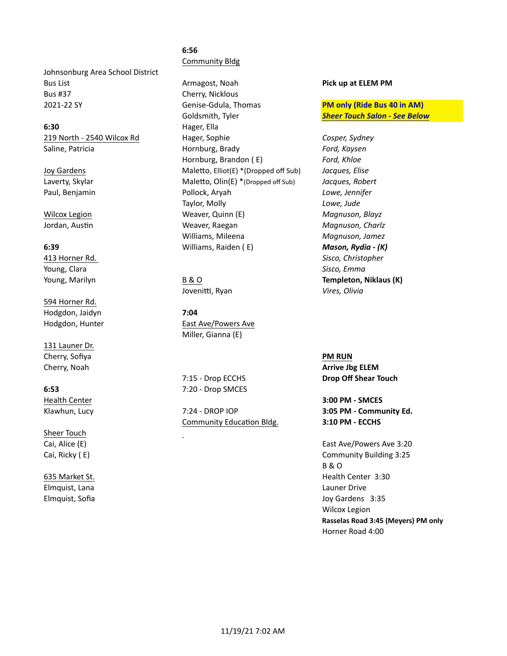Johnsonburg Area School District Bus #37 Cherry, Nicklous

**6:30** Hager, Ella

Young, Clara *Sisco, Emma* **Sisco, Emma Sisco, Emma Sisco, Emma Sisco, Emma** 

594 Horner Rd. Hodgdon, Jaidyn **7:04** 

131 Launer Dr. **Cherry, Sofiya PM RUN** 

Sheer Touch

Elmquist, Lana Launer Drive Launer Drive Launer Drive

# **6:56** Community Bldg

Bus List **Armagost, Noah <b>Pick** up at ELEM PM 2021-22 SY **Charlot Contract Galuary Constant Contract Constant Constant PM only (Ride Bus 40 in AM)** Goldsmith, Tyler **Sheer Touch Salon - See Below 219 North - 2540 Wilcox Rd** Hager, Sophie **Cosper, Sydney Cosper, Sydney** Saline, Patricia **Matricia Edge Exercise Hornburg, Brady Ford, Kaysen** *Ford, Kaysen* Hornburg, Brandon (E) Ford, Khloe Joy Gardens **Maletto, Elliot(E)** \*(Dropped off Sub) *Jacques, Elise* Laverty, Skylar **Maletto, Olin(E)** \*(Dropped off Sub) *Jacques, Robert* Paul, Benjamin Pollock, Aryah *Lowe, Jennifer* Taylor, Molly *Lowe, Jude* Wilcox Legion **Magnuson, Blayz Weaver, Quinn (E)** *Magnuson, Blayz* Jordan, Austin **Magnuson, Charlz** Weaver, Raegan **Magnuson, Charlz** Magnuson, Charlz Williams, Mileena *Magnuson, Jamez* **6:39** Milliams, Raiden (E) **Mason, Rydia - (K) Mason, Rydia** - (K)

Jovenitti, Ryan *Vires, Olivia* 

Hodgdon, Hunter **East Ave/Powers** Ave Miller, Gianna (E)

**7:15 - Drop ECCHS Drop Off Shear Touch 6:53** 7:20 - Drop SMCES

Community Education Bldg. **3:10 PM - ECCHS** 

413 Horner Rd. *Sisco, Christopher* Young, Marilyn **Communist Communist Communist B** & O **Templeton, Niklaus (K)** 

**Cherry, Noah <b>Arrive Jbg ELEM Arrive Jbg ELEM** 

Health Center **3:00 PM** - SMCES Klawhun, Lucy **3:05 PM - Community Ed.** 7:24 - DROP IOP **3:05 PM - Community Ed.** 

Cai, Alice (E) **Called Acid East Ave-** East Ave- Powers Ave 3:20 Cai, Ricky (E) **Called a Community** Building 3:25 B & O **635 Market St. health** Center 3:30 Elmquist, Sofia **Department of the Contract of Contract Contract of Contract Contract Contract Oriental Contract Contract Oriental Acts and Joy Gardens 3:35** Wilcox Legion **Rasselas Road 3:45 (Meyers) PM only** Horner Road 4:00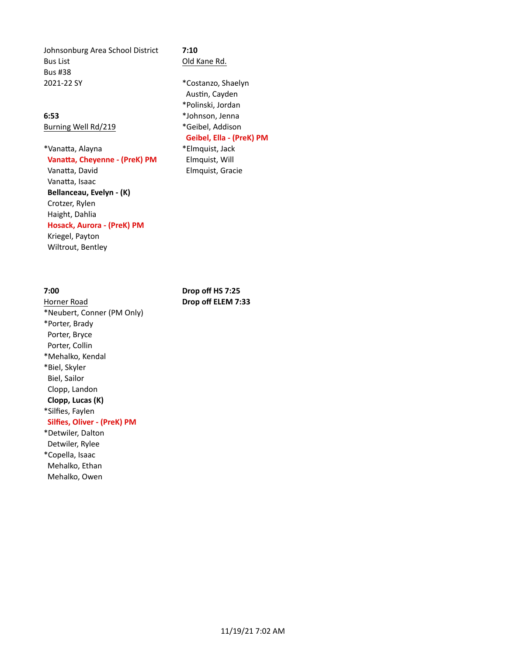Johnsonburg Area School District **7:10** Bus List **Contract Contract Contract Contract Contract Contract Contract Contract Contract Contract Contract Contract Contract Contract Contract Contract Contract Contract Contract Contract Contract Contract Contract Contr** Bus #38 2021-22 SY **\*Costanzo**, Shaelyn

Burning Well Rd/219 \*Geibel, Addison

\*Vanatta, Alayna **\*Elmquist**, Jack **Vanatta, Cheyenne - (PreK) PM** Elmquist, Will Vanatta, David **David Communist** Elmquist, Gracie Vanatta, Isaac **Bellanceau, Evelyn - (K)** Crotzer, Rylen Haight, Dahlia **Hosack, Aurora - (PreK) PM** 

Kriegel, Payton Wiltrout, Bentley

Horner Road **Drop off ELEM 7:33** \*Neubert, Conner (PM Only) \*Porter, Brady Porter, Bryce Porter, Collin \*Mehalko, Kendal \*Biel, Skyler Biel, Sailor Clopp, Landon **Clopp, Lucas (K)** \*Silfies, Faylen **Silfies, Oliver - (PreK) PM** \*Detwiler, Dalton Detwiler, Rylee \*Copella, Isaac Mehalko, Ethan Mehalko, Owen

Austin, Cayden \*Polinski, Jordan **6:53** \*Johnson, Jenna Geibel, Ella - (PreK) PM

**7:00 Drop off HS 7:25**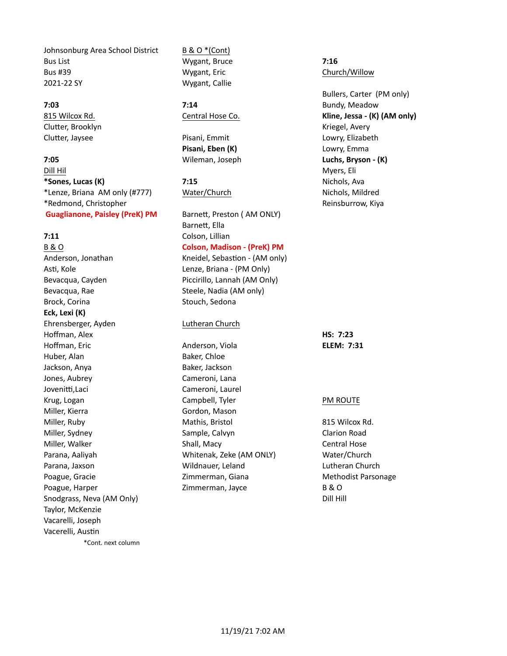Johnsonburg Area School District B & O \*(Cont) Bus List **11.18 Contract Contract Contract Contract Contract Wygant, Bruce 1.16 7:16** Bus #39 **Example 20 Inc.** We controll by Mygant, Eric Church Church/Willow 2021-22 SY Wygant, Callie

Clutter, Brooklyn and Clutter, Brooklyn and Clutter, Brooklyn and Clutter, Brooklyn and Clutter, Brooklyn and Clutter,  $\mathbb{R}$ 

**7:05 Luchs, Bryson - (K) Wileman, Joseph <b>Luchs, Bryson - (K) Dill Hil** Myers, Eli **\*Sones, Lucas (K) 7:15 7:15** Nichols, Ava \*Lenze, Briana AM only (#777) Water/Church Nichols, Mildred Nichols, Mildred \*Redmond, Christopher Reinsburrow, Kiya **Guaglianone, Paisley (PreK) PM** Barnett, Preston (AM ONLY)

Anderson, Jonathan Kneidel, Sebastion - (AM only) Asti, Kole **Lenze, Briana - (PM Only)** Bevacqua, Rae Steele, Nadia (AM only) Brock, Corina **Stouch, Sedona** Stouch, Sedona **Eck, Lexi (K)** Ehrensberger, Ayden Lutheran Church Hoffman, Alex **Hoffman, Alex <b>HS:** 7:23 Huber, Alan Baker, Chloe Jackson, Anya **Baker**, Jackson Jones, Aubrey Cameroni, Lana Jovenitti,Laci Cameroni, Laurel Miller, Kierra **Miller, Kierra Edge Edge Edge Edge Edge** Gordon, Mason Snodgrass, Neva (AM Only) Dill Hill and the Control of the Dill Hill and Dill Hill Taylor, McKenzie Vacarelli, Joseph Vacerelli, Austin \*Cont. next column

Clutter, Jaysee **Pisani, Emmit** Proposition Clutter, Jaysee **Pisani,** Emmit **Pisani, Eben (K)** Lowry, Emma

Barnett, Ella **7:11** Colson, Lillian B & O **Colson, Madison - (PreK) PM** 

Bevacqua, Cayden Piccirillo, Lannah (AM Only)

Hoffman, Eric **Anderson, Viola ELEM: 7:31** Krug, Logan **Campbell, Tyler** Campbell, Tyler **PM** ROUTE Miller, Ruby **Mathis, Bristol 815 Wilcox Rd.** Mathis, Bristol 815 Wilcox Rd. Miller, Sydney **Sample, Calvyn** Clarion Road Clarion Road Miller, Walker Shall, Macy Central Hose Central Hose Parana, Aaliyah Matemak, Zeke (AM ONLY) Water/Church Parana, Jaxson **Network: Wildnauer, Leland** Lutheran Church Poague, Gracie **Methodist** Zimmerman, Giana Methodist Parsonage Poague, Harper The Matter Commerman, Jayce B & O

Bullers, Carter (PM only) **7:03 7:14 7:14** *Particular Properties 21:14 Particular Bundy, Meadow* 815 Wilcox Rd. **Central Hose Co. Kline, Jessa - (K) (AM only) Central Hose Co. Kline, Jessa - (K) (AM only)**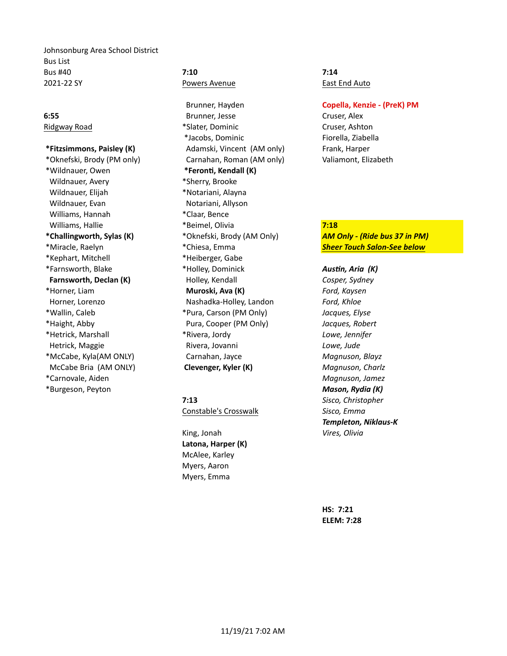Johnsonburg Area School District Bus List **Bus #40 7:10 7:10 7:14 2021-22 SY** Powers Avenue **East End Auto** 

\*Wildnauer, Owen **\*Feronti, Kendall (K)** Wildnauer, Avery **Auch August 2018** \*Sherry, Brooke Wildnauer, Elijah **Wildnauer, Elijah** \*Notariani, Alayna Wildnauer, Evan **Notariani**, Allyson Williams, Hannah \* Claar, Bence \*Kephart, Mitchell \*Heiberger, Gabe McCabe Bria (AM ONLY) **Clevenger, Kyler (K)** *Magnuson, Charlz*  \*Carnovale, Aiden *Magnuson, Jamez* \*Burgeson, Peyton *Mason, Rydia (K)*

Brunner, Hayden **Copella, Kenzie - (PreK) PM 6:55** Brunner, Jesse Cruser, Alex Ridgway Road **\*Slater, Dominic** The Cruser, Ashton \*Jacobs, Dominic Fiorella, Ziabella **\*Fitzsimmons, Paisley (K) Adamski, Vincent (AM** only) Frank, Harper \*Oknefski, Brody (PM only) Carnahan, Roman (AM only) Valiamont, Elizabeth Williams, Hallie **1988 Communist Communist Communist Communist Communist Communist Communist Communist Communist Communist Communist Communist Communist Communist Communist Communist Communist Communist Communist Communist** \*Farnsworth, Blake *Austin, Aria* (K) **\*Holley, Dominick Austin, Aria (K) Farnsworth, Declan (K)** Holley, Kendall *Cosper, Sydney*  \*Horner, Liam **Muroski, Ava (K)** *Ford, Kaysen* Horner, Lorenzo **Mashadka-Holley, Landon** *Ford, Khloe*  \*Wallin, Caleb \*Pura, Carson (PM Only) *Jacques, Elyse* \*Haight, Abby Pura, Cooper (PM Only) *Jacques, Robert* \*Hetrick, Marshall \*Rivera, Jordy *Lowe, Jennifer* Hetrick, Maggie *Rivera, Jovanni Lowe, Jude Lowe, Jude*  \*McCabe, Kyla(AM ONLY) Carnahan, Jayce *Magnuson, Blayz*

Constable's Crosswalk *Sisco, Emma*

King, Jonah *Vires, Olivia* Latona, Harper (K) McAlee, Karley Myers, Aaron Myers, Emma

\*Challingworth, Sylas (K) **\*Oknefski, Brody** (AM Only) **AM Only** - (Ride bus 37 in PM) \*Miracle, Raelyn \*Chiesa, Emma *Sheer Touch Salon-See below*

> **7:13** Sisco, Christopher *Templeton, Niklaus-K*

> > **HS: 7:21 ELEM: 7:28**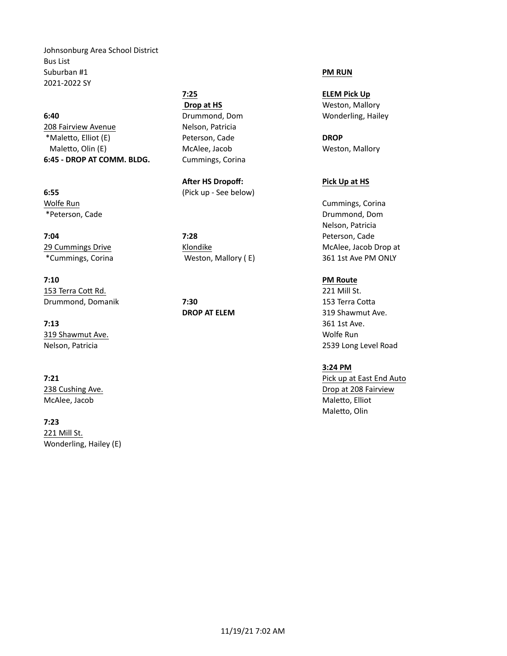Johnsonburg Area School District Bus List Suburban #1 **PM RUN** 2021-2022 SY

**6:40 Drummond, Dom Wonderling, Hailey** 208 Fairview Avenue Nelson, Patricia \*MaleVo, Elliot (E) Peterson, Cade **DROP** Maletto, Olin (E) The McAlee, Jacob McAlee, Jacob Weston, Mallory 6:45 - DROP AT COMM. BLDG. Cummings, Corina

**7:04 7:28 7:28 Peterson, Cade** 

**7:10 PM** Route 153 Terra Cott Rd. 221 Mill St. **Drummond, Domanik 17:30** 153 Terra Cotta

**7:13** 361 1st Ave. **319 Shawmut Ave.** Wolfe Run November 2014 19:30 November 2014

McAlee, Jacob MaleVo, Elliot

**7:23** 221 Mill St. Wonderling, Hailey (E)

**After HS Dropoff:** Pick Up at HS **6:55** (Pick up - See below)

**7:25 ELEM** Pick Up **Drop at HS** Weston, Mallory

Wolfe Run **Cummings, Corina** Cummings, Corina Cummings, Corina Cummings, Corina Cummings, Corina Cummings, Corina \*Peterson, Cade Drummond, Dom Nelson, Patricia 29 Cummings Drive **McAlee, Jacob Drop at Access** Klondike McAlee, Jacob Drop at \*Cummings, Corina **The Communist Communist Communist Communist Communist Communist Communist Communist Communist Communist Communist Communist Communist Communist Communist Communist Communist Communist Communist Communist** 

**DROP AT ELEM** 319 Shawmut Ave. Nelson, Patricia 2539 Long Level Road

## **3:24 PM**

**7:21 Pick** up at East End Auto 238 Cushing Ave. **Drop** at 208 Fairview and the state of the state of the state of the state of the state of the state of the state of the state of the state of the state of the state of the state of the state of the state Maletto, Olin